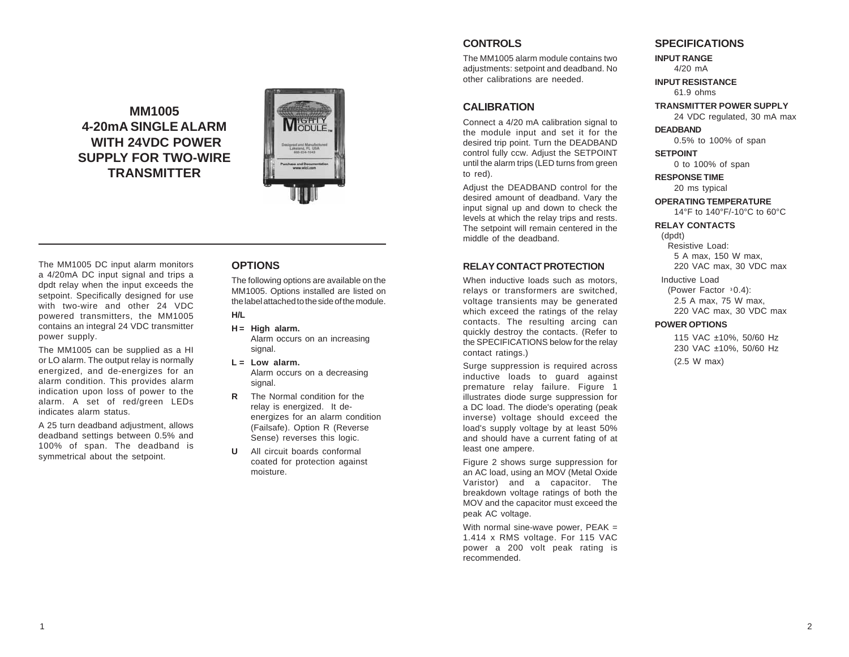# **MM1005 4-20mA SINGLE ALARM WITH 24VDC POWER SUPPLY FOR TWO-WIRE TRANSMITTER**



The MM1005 DC input alarm monitors a 4/20mA DC input signal and trips a dpdt relay when the input exceeds the setpoint. Specifically designed for use with two-wire and other 24 VDC powered transmitters, the MM1005 contains an integral 24 VDC transmitter power supply.

The MM1005 can be supplied as a HI or LO alarm. The output relay is normally energized, and de-energizes for an alarm condition. This provides alarm indication upon loss of power to the alarm. A set of red/green LEDs indicates alarm status.

A 25 turn deadband adjustment, allows deadband settings between 0.5% and 100% of span. The deadband is symmetrical about the setpoint.

## **OPTIONS**

The following options are available on the MM1005. Options installed are listed on the label attached to the side of the module.

# **H/L**

**H = High alarm.** Alarm occurs on an increasing signal.

- **L = Low alarm.** Alarm occurs on a decreasing signal.
- **R** The Normal condition for the relay is energized. It deenergizes for an alarm condition (Failsafe). Option R (Reverse Sense) reverses this logic.
- **U** All circuit boards conformal coated for protection against moisture.

## **CONTROLS**

The MM1005 alarm module contains two adjustments: setpoint and deadband. No other calibrations are needed.

### **CALIBRATION**

Connect a 4/20 mA calibration signal to the module input and set it for the desired trip point. Turn the DEADBAND control fully ccw. Adjust the SETPOINT until the alarm trips (LED turns from green to red).

Adjust the DEADBAND control for the desired amount of deadband. Vary the input signal up and down to check the levels at which the relay trips and rests. The setpoint will remain centered in the middle of the deadband.

#### **RELAY CONTACT PROTECTION**

When inductive loads such as motors, relays or transformers are switched, voltage transients may be generated which exceed the ratings of the relay contacts. The resulting arcing can quickly destroy the contacts. (Refer to the SPECIFICATIONS below for the relay contact ratings.)

Surge suppression is required across inductive loads to guard against premature relay failure. Figure 1 illustrates diode surge suppression for a DC load. The diode's operating (peak inverse) voltage should exceed the load's supply voltage by at least 50% and should have a current fating of at least one ampere.

Figure 2 shows surge suppression for an AC load, using an MOV (Metal Oxide Varistor) and a capacitor. The breakdown voltage ratings of both the MOV and the capacitor must exceed the peak AC voltage.

With normal sine-wave power, PEAK = 1.414 x RMS voltage. For 115 VAC power a 200 volt peak rating is recommended.

#### **SPECIFICATIONS**

**INPUT RANGE** 4/20 mA

**INPUT RESISTANCE** 61.9 ohms

**TRANSMITTER POWER SUPPLY** 24 VDC regulated, 30 mA max

**DEADBAND** 0.5% to 100% of span

**SETPOINT**

0 to 100% of span

**RESPONSE TIME** 20 ms typical

**OPERATING TEMPERATURE** 14°F to 140°F/-10°C to 60°C

#### **RELAY CONTACTS**

(dpdt) Resistive Load: 5 A max, 150 W max, 220 VAC max, 30 VDC max

Inductive Load (Power Factor  $30.4$ ): 2.5 A max, 75 W max, 220 VAC max, 30 VDC max

#### **POWER OPTIONS**

115 VAC ±10%, 50/60 Hz 230 VAC ±10%, 50/60 Hz (2.5 W max)